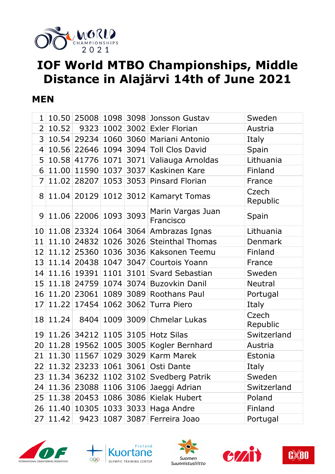

# **IOF World MTBO Championships, Middle Distance in Alajärvi 14th of June 2021**

#### **MEN**

| $\mathbf{1}$   |                     |                       |      |           | 10.50 25008 1098 3098 Jonsson Gustav     | Sweden            |
|----------------|---------------------|-----------------------|------|-----------|------------------------------------------|-------------------|
| $\overline{2}$ | 10.52               | 9323                  |      |           | 1002 3002 Exler Florian                  | Austria           |
| 3              | 10.54               |                       |      |           | 29234 1060 3060 Mariani Antonio          | Italy             |
| 4              |                     |                       |      |           | 10.56 22646 1094 3094 Toll Clos David    | Spain             |
| 5              |                     | 10.58 41776 1071      |      |           | 3071 Valiauga Arnoldas                   | Lithuania         |
| 6              |                     | 11.00 11590 1037      |      |           | 3037 Kaskinen Kare                       | Finland           |
| 7              | 11.02               | 28207                 |      |           | 1053 3053 Pinsard Florian                | France            |
| 8              |                     |                       |      |           | 11.04 20129 1012 3012 Kamaryt Tomas      | Czech<br>Republic |
| 9              |                     | 11.06 22006 1093 3093 |      |           | Marin Vargas Juan<br>Francisco           | Spain             |
| 10             |                     |                       |      |           | 11.08 23324 1064 3064 Ambrazas Ignas     | Lithuania         |
| 11             | 11.10               |                       |      |           | 24832 1026 3026 Steinthal Thomas         | Denmark           |
| 12             | 11.12               |                       |      |           | 25360 1036 3036 Kaksonen Teemu           | Finland           |
| 13             | $\vert 11.14 \vert$ |                       |      |           | 20438 1047 3047 Courtois Yoann           | France            |
| 14             | 11.16               |                       |      |           | 19391 1101 3101 Svard Sebastian          | Sweden            |
|                | 15 11.18            |                       |      |           | 24759 1074 3074 Buzovkin Danil           | <b>Neutral</b>    |
|                | 16 11.20            | 23061                 | 1089 |           | 3089 Roothans Paul                       | Portugal          |
| 17             | 11.22               | 17454                 |      | 1062 3062 | Turra Piero                              | Italy             |
| 18             | 11.24               | 8404                  |      |           | 1009 3009 Chmelar Lukas                  | Czech<br>Republic |
| 19             |                     |                       |      |           | 11.26 34212 1105 3105 Hotz Silas         | Switzerland       |
| 20             | 11.28               |                       |      |           | 19562 1005 3005 Kogler Bernhard          | Austria           |
| 21             | 11.30               | 11567                 |      |           | 1029 3029 Karm Marek                     | Estonia           |
|                |                     |                       |      |           | 22 11.32 23233 1061 3061 Osti Dante      | Italy             |
|                |                     |                       |      |           | 23 11.34 36232 1102 3102 Svedberg Patrik | Sweden            |
|                | 24 11.36            |                       |      |           | 23088 1106 3106 Jaeggi Adrian            | Switzerland       |
|                | 25 11.38            |                       |      |           | 20453 1086 3086 Kielak Hubert            | Poland            |
|                | 26 11.40            |                       |      |           | 10305 1033 3033 Haga Andre               | Finland           |
| 27             | 11.42               |                       |      |           | 9423 1087 3087 Ferreira Joao             | Portugal          |









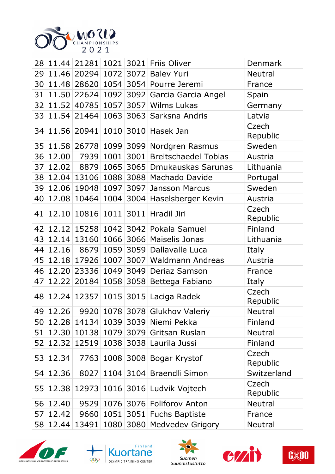

|    |          |                       |      |      | 28 11.44 21281 1021 3021 Friis Oliver     | <b>Denmark</b>    |
|----|----------|-----------------------|------|------|-------------------------------------------|-------------------|
| 29 |          |                       |      |      | 11.46 20294 1072 3072 Balev Yuri          | <b>Neutral</b>    |
| 30 |          |                       |      |      | 11.48 28620 1054 3054 Pourre Jeremi       | France            |
| 31 |          |                       |      |      | 11.50 22624 1092 3092 Garcia Garcia Angel | Spain             |
| 32 |          |                       |      |      | 11.52 40785 1057 3057 Wilms Lukas         | Germany           |
| 33 |          |                       |      |      | 11.54 21464 1063 3063 Sarksna Andris      | Latvia            |
|    |          |                       |      |      | 34 11.56 20941 1010 3010 Hasek Jan        | Czech<br>Republic |
| 35 |          |                       |      |      | 11.58 26778 1099 3099 Nordgren Rasmus     | Sweden            |
| 36 | 12.00    | 7939                  |      |      | 1001 3001 Breitschaedel Tobias            | Austria           |
| 37 | 12.02    | 8879                  |      |      | 1065 3065 Dmukauskas Sarunas              | Lithuania         |
| 38 |          |                       |      |      | 12.04 13106 1088 3088 Machado Davide      | Portugal          |
| 39 |          | 12.06 19048 1097 3097 |      |      | Jansson Marcus                            | Sweden            |
| 40 |          |                       |      |      | 12.08 10464 1004 3004 Haselsberger Kevin  | Austria           |
| 41 |          |                       |      |      | 12.10 10816 1011 3011 Hradil Jiri         | Czech<br>Republic |
|    |          |                       |      |      | 42 12.12 15258 1042 3042 Pokala Samuel    | Finland           |
| 43 |          | 12.14 13160           |      |      | 1066 3066 Maiselis Jonas                  | Lithuania         |
| 44 | 12.16    |                       |      |      | 8679 1059 3059 Dallavalle Luca            | Italy             |
| 45 |          |                       |      |      | 12.18 17926 1007 3007 Waldmann Andreas    | Austria           |
| 46 |          |                       |      |      | 12.20 23336 1049 3049 Deriaz Samson       | France            |
| 47 |          |                       |      |      | 12.22 20184 1058 3058 Bettega Fabiano     | Italy             |
|    |          |                       |      |      | 48 12.24 12357 1015 3015 Laciga Radek     | Czech<br>Republic |
|    | 49 12.26 |                       |      |      | 9920 1078 3078 Glukhov Valeriy            | Neutral           |
| 50 | 12.28    | 14134                 |      |      | 1039 3039 Niemi Pekka                     | Finland           |
| 51 | 12.30    | 10138                 |      |      | 1079 3079 Gritsan Ruslan                  | <b>Neutral</b>    |
| 52 | 12.32    | 12519                 |      |      | 1038 3038 Laurila Jussi                   | Finland           |
| 53 | 12.34    | 7763                  |      |      | 1008 3008 Bogar Krystof                   | Czech<br>Republic |
| 54 | 12.36    | 8027                  | 1104 | 3104 | <b>Braendli Simon</b>                     | Switzerland       |
| 55 |          |                       |      |      | 12.38 12973 1016 3016 Ludvik Vojtech      | Czech<br>Republic |
| 56 | 12.40    | 9529                  |      |      | 1076 3076 Foliforov Anton                 | <b>Neutral</b>    |
| 57 | 12.42    | 9660                  | 1051 | 3051 | <b>Fuchs Baptiste</b>                     | France            |
| 58 |          | 12.44 13491           |      |      | 1080 3080 Medvedev Grigory                | Neutral           |









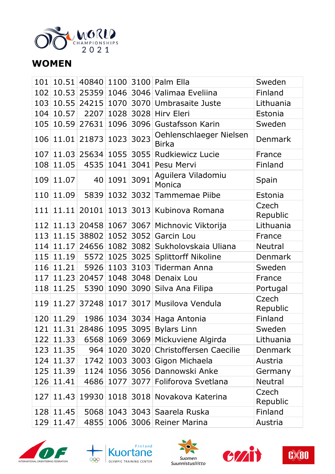

## **WOMEN**

|     |           |                      |           |      | 101 10.51 40840 1100 3100 Palm Ella           | Sweden            |
|-----|-----------|----------------------|-----------|------|-----------------------------------------------|-------------------|
| 102 |           |                      |           |      | 10.53 25359 1046 3046 Valimaa Eveliina        | Finland           |
|     |           |                      |           |      | 103 10.55 24215 1070 3070 Umbrasaite Juste    | Lithuania         |
|     | 104 10.57 |                      |           |      | 2207 1028 3028 Hirv Eleri                     | Estonia           |
|     |           | 105 10.59 27631      |           |      | 1096 3096 Gustafsson Karin                    | Sweden            |
|     |           | 106 11.01 21873 1023 |           | 3023 | Oehlenschlaeger Nielsen<br><b>Birka</b>       | <b>Denmark</b>    |
|     |           |                      |           |      | 107 11.03 25634 1055 3055 Rudkiewicz Lucie    | France            |
|     | 108 11.05 |                      | 4535 1041 | 3041 | Pesu Mervi                                    | Finland           |
|     | 109 11.07 |                      | 40 1091   | 3091 | Aguilera Viladomiu<br>Monica                  | Spain             |
|     | 110 11.09 |                      |           |      | 5839 1032 3032 Tammemae Piibe                 | Estonia           |
|     |           |                      |           |      | 111 11.11 20101 1013 3013 Kubinova Romana     | Czech<br>Republic |
|     |           |                      |           |      | 112 11.13 20458 1067 3067 Michnovic Viktorija | Lithuania         |
|     |           |                      |           |      | 113 11.15 38802 1052 3052 Garcin Lou          | France            |
|     | 114 11.17 |                      |           |      | 24656   1082   3082   Sukholovskaia Uliana    | Neutral           |
|     |           |                      |           |      | 115 11.19 5572 1025 3025 Splittorff Nikoline  | <b>Denmark</b>    |
|     | 116 11.21 |                      |           |      | 5926 1103 3103 Tiderman Anna                  | Sweden            |
|     |           | 117 11.23 20457      |           |      | 1048 3048 Denaix Lou                          | France            |
|     | 118 11.25 |                      |           |      | 5390 1090 3090 Silva Ana Filipa               | Portugal          |
|     |           |                      |           |      | 119 11.27 37248 1017 3017 Musilova Vendula    | Czech<br>Republic |
|     | 120 11.29 |                      |           |      | 1986 1034 3034 Haga Antonia                   | Finland           |
|     |           |                      |           |      | 121 11.31 28486 1095 3095 Bylars Linn         | Sweden            |
|     | 122 11.33 |                      |           |      | 6568 1069 3069 Mickuviene Algirda             | Lithuania         |
|     | 123 11.35 |                      |           |      | 964 1020 3020 Christoffersen Caecilie         | <b>Denmark</b>    |
|     | 124 11.37 |                      |           |      | 1742 1003 3003 Gigon Michaela                 | Austria           |
|     | 125 11.39 |                      |           |      | 1124 1056 3056 Dannowski Anke                 | Germany           |
|     | 126 11.41 |                      |           |      | 4686 1077 3077 Foliforova Svetlana            | Neutral           |
| 127 |           |                      |           |      | 11.43 19930 1018 3018 Novakova Katerina       | Czech<br>Republic |
|     | 128 11.45 |                      |           |      | 5068 1043 3043 Saarela Ruska                  | Finland           |
|     | 129 11.47 |                      |           |      | 4855 1006 3006 Reiner Marina                  | Austria           |









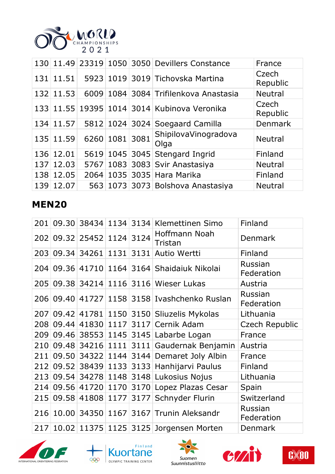

|     |           |      |                | 130 11.49 23319 1050 3050 Devillers Constance | France            |
|-----|-----------|------|----------------|-----------------------------------------------|-------------------|
| 131 | 11.51     |      |                | 5923 1019 3019 Tichovska Martina              | Czech<br>Republic |
| 132 | 11.53     |      |                | 6009   1084   3084   Trifilenkova Anastasia   | <b>Neutral</b>    |
|     |           |      |                | 133 11.55 19395 1014 3014 Kubinova Veronika   | Czech<br>Republic |
|     | 134 11.57 |      |                | 5812 1024 3024 Soegaard Camilla               | Denmark           |
|     | 135 11.59 |      | 6260 1081 3081 | ShipilovaVinogradova<br>Olga                  | <b>Neutral</b>    |
|     | 136 12.01 |      |                | 5619 1045 3045 Stengard Ingrid                | Finland           |
|     | 137 12.03 | 5767 |                | $1083$ 3083 Svir Anastasiya                   | <b>Neutral</b>    |
|     | 138 12.05 |      |                | 2064 1035 3035 Hara Marika                    | Finland           |
|     | 139 12.07 |      |                | 563 1073 3073 Bolshova Anastasiya             | <b>Neutral</b>    |

## **MEN20**

| 201 |                           |  | 09.30 38434 1134 3134 Klemettinen Simo       | Finland               |
|-----|---------------------------|--|----------------------------------------------|-----------------------|
|     | 202 09.32 25452 1124 3124 |  | Hoffmann Noah<br>Tristan                     | <b>Denmark</b>        |
|     | 203 09.34 34261 1131 3131 |  | Autio Wertti                                 | Finland               |
|     |                           |  | 204 09.36 41710 1164 3164 Shaidaiuk Nikolai  | Russian<br>Federation |
|     |                           |  | 205 09.38 34214 1116 3116 Wieser Lukas       | Austria               |
|     |                           |  | 206 09.40 41727 1158 3158 Ivashchenko Ruslan | Russian<br>Federation |
|     |                           |  | 207 09.42 41781 1150 3150 Sliuzelis Mykolas  | Lithuania             |
|     |                           |  | 208 09.44 41830 1117 3117 Cernik Adam        | <b>Czech Republic</b> |
| 209 |                           |  | 09.46 38553 1145 3145 Labarbe Logan          | France                |
| 210 |                           |  | 09.48 34216 1111 3111 Gaudernak Benjamin     | Austria               |
| 211 |                           |  | 09.50 34322 1144 3144 Demaret Joly Albin     | France                |
|     |                           |  | 212 09.52 38439 1133 3133 Hanhijarvi Paulus  | Finland               |
|     |                           |  | 213 09.54 34278 1148 3148 Lukosius Nojus     | Lithuania             |
| 214 |                           |  | 09.56 41720 1170 3170 Lopez Plazas Cesar     | Spain                 |
| 215 | 09.58 41808 1177 3177     |  | Schnyder Flurin                              | Switzerland           |
| 216 |                           |  | 10.00 34350 1167 3167 Trunin Aleksandr       | Russian<br>Federation |
| 217 |                           |  | 10.02 11375 1125 3125 Jorgensen Morten       | Denmark               |









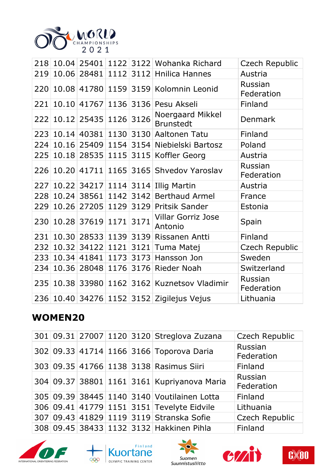

|     |       |                       |      | 218 10.04 25401 1122 3122 Wohanka Richard    | Czech Republic        |
|-----|-------|-----------------------|------|----------------------------------------------|-----------------------|
| 219 | 10.06 |                       |      | 28481 1112 3112 Hnilica Hannes               | Austria               |
| 220 |       |                       |      | 10.08 41780 1159 3159 Kolomnin Leonid        | Russian<br>Federation |
| 221 |       | 10.10 41767           |      | 1136 3136 Pesu Akseli                        | Finland               |
| 222 |       | 10.12 25435 1126 3126 |      | Noergaard Mikkel<br><b>Brunstedt</b>         | <b>Denmark</b>        |
|     |       |                       |      | 223 10.14 40381 1130 3130 Aaltonen Tatu      | Finland               |
| 224 |       |                       |      | 10.16 25409 1154 3154 Niebielski Bartosz     | Poland                |
| 225 |       |                       |      | 10.18 28535 1115 3115 Koffler Georg          | Austria               |
| 226 |       |                       |      | 10.20 41711 1165 3165 Shvedov Yaroslav       | Russian<br>Federation |
| 227 |       |                       |      | 10.22 34217 1114 3114 Illig Martin           | Austria               |
| 228 |       | 10.24 38561           |      | 1142 3142 Berthaud Armel                     | France                |
| 229 | 10.26 |                       |      | 27205 1129 3129 Pritsik Sander               | Estonia               |
| 230 |       | 10.28 37619 1171      | 3171 | <b>Villar Gorriz Jose</b><br>Antonio         | Spain                 |
| 231 |       |                       |      | 10.30 28533 1139 3139 Rissanen Antti         | Finland               |
| 232 | 10.32 | 34122 1121            | 3121 | Tuma Matej                                   | Czech Republic        |
| 233 |       |                       |      | 10.34 41841 1173 3173 Hansson Jon            | Sweden                |
| 234 | 10.36 |                       |      | 28048 1176 3176 Rieder Noah                  | Switzerland           |
|     |       |                       |      | 235 10.38 33980 1162 3162 Kuznetsov Vladimir | Russian<br>Federation |
|     |       |                       |      | 236 10.40 34276 1152 3152 Zigilejus Vejus    | Lithuania             |

#### **WOMEN20**

|  |  | 301 09.31 27007 1120 3120 Streglova Zuzana  | Czech Republic        |
|--|--|---------------------------------------------|-----------------------|
|  |  | 302 09.33 41714 1166 3166 Toporova Daria    | Russian<br>Federation |
|  |  | 303 09.35 41766 1138 3138 Rasimus Siiri     | Finland               |
|  |  | 304 09.37 38801 1161 3161 Kupriyanova Maria | Russian<br>Federation |
|  |  | 305 09.39 38445 1140 3140 Voutilainen Lotta | Finland               |
|  |  | 306 09.41 41779 1151 3151 Tevelyte Eidvile  | Lithuania             |
|  |  | 307 09.43 41829 1119 3119 Stranska Sofie    | <b>Czech Republic</b> |
|  |  | 308 09.45 38433 1132 3132 Hakkinen Pihla    | Finland               |